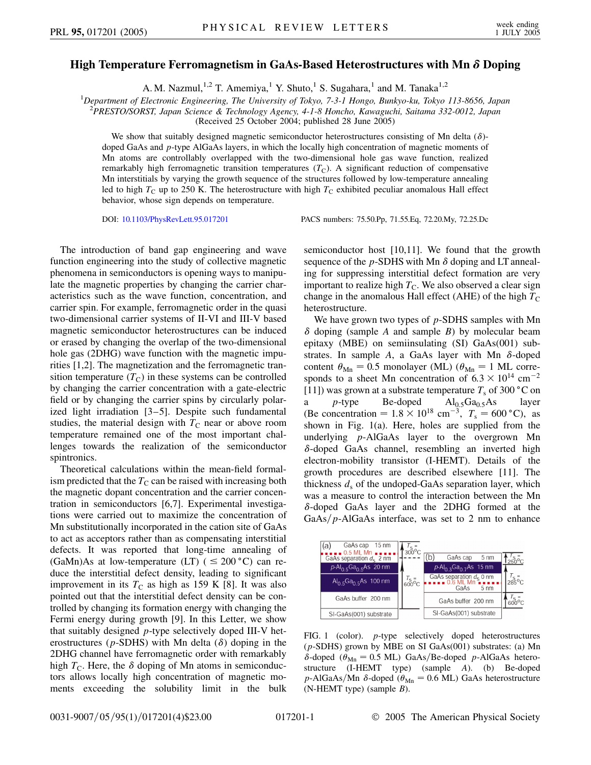## **High Temperature Ferromagnetism in GaAs-Based Heterostructures with Mn Doping**

A. M. Nazmul,<sup>1,2</sup> T. Amemiya,<sup>1</sup> Y. Shuto,<sup>1</sup> S. Sugahara,<sup>1</sup> and M. Tanaka<sup>1,2</sup>

1 *Department of Electronic Engineering, The University of Tokyo, 7-3-1 Hongo, Bunkyo-ku, Tokyo 113-8656, Japan*

2 *PRESTO/SORST, Japan Science & Technology Agency, 4-1-8 Honcho, Kawaguchi, Saitama 332-0012, Japan*

(Received 25 October 2004; published 28 June 2005)

We show that suitably designed magnetic semiconductor heterostructures consisting of Mn delta  $(\delta)$ doped GaAs and *p*-type AlGaAs layers, in which the locally high concentration of magnetic moments of Mn atoms are controllably overlapped with the two-dimensional hole gas wave function, realized remarkably high ferromagnetic transition temperatures  $(T<sub>C</sub>)$ . A significant reduction of compensative Mn interstitials by varying the growth sequence of the structures followed by low-temperature annealing led to high  $T_{\rm C}$  up to 250 K. The heterostructure with high  $T_{\rm C}$  exhibited peculiar anomalous Hall effect behavior, whose sign depends on temperature.

DOI: [10.1103/PhysRevLett.95.017201](http://dx.doi.org/10.1103/PhysRevLett.95.017201) PACS numbers: 75.50.Pp, 71.55.Eq, 72.20.My, 72.25.Dc

The introduction of band gap engineering and wave function engineering into the study of collective magnetic phenomena in semiconductors is opening ways to manipulate the magnetic properties by changing the carrier characteristics such as the wave function, concentration, and carrier spin. For example, ferromagnetic order in the quasi two-dimensional carrier systems of II-VI and III-V based magnetic semiconductor heterostructures can be induced or erased by changing the overlap of the two-dimensional hole gas (2DHG) wave function with the magnetic impurities [1,2]. The magnetization and the ferromagnetic transition temperature  $(T_C)$  in these systems can be controlled by changing the carrier concentration with a gate-electric field or by changing the carrier spins by circularly polarized light irradiation [3–5]. Despite such fundamental studies, the material design with  $T<sub>C</sub>$  near or above room temperature remained one of the most important challenges towards the realization of the semiconductor spintronics.

Theoretical calculations within the mean-field formalism predicted that the  $T<sub>C</sub>$  can be raised with increasing both the magnetic dopant concentration and the carrier concentration in semiconductors [6,7]. Experimental investigations were carried out to maximize the concentration of Mn substitutionally incorporated in the cation site of GaAs to act as acceptors rather than as compensating interstitial defects. It was reported that long-time annealing of (GaMn)As at low-temperature (LT) ( $\leq 200$  °C) can reduce the interstitial defect density, leading to significant improvement in its  $T_C$  as high as 159 K [8]. It was also pointed out that the interstitial defect density can be controlled by changing its formation energy with changing the Fermi energy during growth [9]. In this Letter, we show that suitably designed *p*-type selectively doped III-V heterostructures ( $p$ -SDHS) with Mn delta ( $\delta$ ) doping in the 2DHG channel have ferromagnetic order with remarkably high  $T_{\rm C}$ . Here, the  $\delta$  doping of Mn atoms in semiconductors allows locally high concentration of magnetic moments exceeding the solubility limit in the bulk semiconductor host [10,11]. We found that the growth sequence of the  $p$ -SDHS with Mn  $\delta$  doping and LT annealing for suppressing interstitial defect formation are very important to realize high  $T<sub>C</sub>$ . We also observed a clear sign change in the anomalous Hall effect (AHE) of the high  $T<sub>C</sub>$ heterostructure.

We have grown two types of *p*-SDHS samples with Mn  $\delta$  doping (sample *A* and sample *B*) by molecular beam epitaxy (MBE) on semiinsulating (SI) GaAs(001) substrates. In sample  $A$ , a GaAs layer with Mn  $\delta$ -doped content  $\theta_{\text{Mn}} = 0.5$  monolayer (ML) ( $\theta_{\text{Mn}} = 1$  ML corresponds to a sheet Mn concentration of  $6.3 \times 10^{14}$  cm<sup>-2</sup> [11]) was grown at a substrate temperature  $T_s$  of 300 °C on a *p*-type Be-doped Al<sub>0.5</sub>Ga<sub>0.5</sub>As layer (Be concentration =  $1.8 \times 10^{18}$  cm<sup>-3</sup>,  $T_s = 600$  °C), as shown in Fig. 1(a). Here, holes are supplied from the underlying *p*-AlGaAs layer to the overgrown Mn  $\delta$ -doped GaAs channel, resembling an inverted high electron-mobility transistor (I-HEMT). Details of the growth procedures are described elsewhere [11]. The thickness  $d_s$  of the undoped-GaAs separation layer, which was a measure to control the interaction between the Mn  $\delta$ -doped GaAs layer and the 2DHG formed at the  $GaAs/p-AlGaAs$  interface, was set to 2 nm to enhance

| GaAs cap 15 nm<br>(a)<br>. 0.5 ML Mn | $300^{\circ}$ C      |                                                      |                 |
|--------------------------------------|----------------------|------------------------------------------------------|-----------------|
| GaAs separation $d_s$ 2 nm           |                      | (b)<br>GaAs cap<br>5 <sub>nm</sub>                   | $250^{\circ}$ C |
| $P-AI_{0.5}Ga_{0.5}As$ 20 nm         |                      | $p$ -Al <sub>0.3</sub> Ga <sub>0.7</sub> As 15 nm    |                 |
| $Al_{0.5}Ga_{0.5}As$ 100 nm          | $T_S = 600^{\circ}C$ | GaAs separation $d_S$ 0 nm<br>GaAs<br>$5 \text{ nm}$ | $285^{\circ}$ C |
| GaAs buffer 200 nm                   |                      | GaAs buffer 200 nm                                   |                 |
| SI-GaAs(001) substrate               |                      | SI-GaAs(001) substrate                               |                 |

FIG. 1 (color). *p*-type selectively doped heterostructures (*p*-SDHS) grown by MBE on SI GaAs(001) substrates: (a) Mn  $\delta$ -doped ( $\theta_{\text{Mn}} = 0.5$  ML) GaAs/Be-doped *p*-AlGaAs heterostructure (I-HEMT type) (sample *A*). (b) Be-doped  $p$ -AlGaAs/Mn  $\delta$ -doped ( $\theta_{\text{Mn}} = 0.6$  ML) GaAs heterostructure (N-HEMT type) (sample *B*).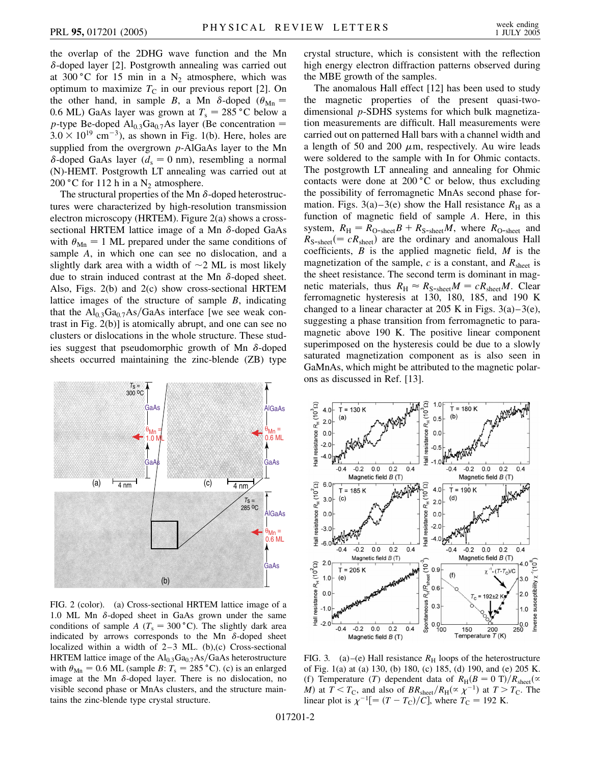the overlap of the 2DHG wave function and the Mn  $\delta$ -doped layer [2]. Postgrowth annealing was carried out at 300 °C for 15 min in a  $N_2$  atmosphere, which was optimum to maximize  $T_{\rm C}$  in our previous report [2]. On the other hand, in sample *B*, a Mn  $\delta$ -doped ( $\theta_{\text{Mn}}$  = 0.6 ML) GaAs layer was grown at  $T_s = 285 \degree C$  below a *p*-type Be-doped  $\text{Al}_{0.3}\text{Ga}_{0.7}\text{As}$  layer (Be concentration =  $3.0 \times 10^{19}$  cm<sup>-3</sup>), as shown in Fig. 1(b). Here, holes are supplied from the overgrown *p*-AlGaAs layer to the Mn  $\delta$ -doped GaAs layer ( $d_s = 0$  nm), resembling a normal (N)-HEMT. Postgrowth LT annealing was carried out at 200 °C for 112 h in a  $N_2$  atmosphere.

The structural properties of the Mn  $\delta$ -doped heterostructures were characterized by high-resolution transmission electron microscopy (HRTEM). Figure 2(a) shows a crosssectional HRTEM lattice image of a Mn  $\delta$ -doped GaAs with  $\theta_{\text{Mn}} = 1$  ML prepared under the same conditions of sample *A*, in which one can see no dislocation, and a slightly dark area with a width of  $\sim$  2 ML is most likely due to strain induced contrast at the Mn  $\delta$ -doped sheet. Also, Figs. 2(b) and 2(c) show cross-sectional HRTEM lattice images of the structure of sample *B*, indicating that the  $Al_{0,3}Ga_{0,7}As/GaAs$  interface [we see weak contrast in Fig. 2(b)] is atomically abrupt, and one can see no clusters or dislocations in the whole structure. These studies suggest that pseudomorphic growth of Mn  $\delta$ -doped sheets occurred maintaining the zinc-blende (ZB) type



FIG. 2 (color). (a) Cross-sectional HRTEM lattice image of a 1.0 ML Mn  $\delta$ -doped sheet in GaAs grown under the same conditions of sample *A* ( $T_s = 300 \degree C$ ). The slightly dark area indicated by arrows corresponds to the Mn  $\delta$ -doped sheet localized within a width of  $2-3$  ML. (b),(c) Cross-sectional HRTEM lattice image of the Al<sub>0.3</sub>Ga<sub>0.7</sub>As/GaAs heterostructure with  $\theta_{\text{Mn}} = 0.6$  ML (sample *B*:  $T_s = 285$  °C). (c) is an enlarged image at the Mn  $\delta$ -doped layer. There is no dislocation, no visible second phase or MnAs clusters, and the structure maintains the zinc-blende type crystal structure.

crystal structure, which is consistent with the reflection high energy electron diffraction patterns observed during the MBE growth of the samples.

The anomalous Hall effect [12] has been used to study the magnetic properties of the present quasi-twodimensional *p*-SDHS systems for which bulk magnetization measurements are difficult. Hall measurements were carried out on patterned Hall bars with a channel width and a length of 50 and 200  $\mu$ m, respectively. Au wire leads were soldered to the sample with In for Ohmic contacts. The postgrowth LT annealing and annealing for Ohmic contacts were done at  $200 °C$  or below, thus excluding the possibility of ferromagnetic MnAs second phase formation. Figs. 3(a)–3(e) show the Hall resistance  $R_H$  as a function of magnetic field of sample *A*. Here, in this system,  $R_H = R_{O-\text{sheet}}B + R_{S-\text{sheet}}M$ , where  $R_{O-\text{sheet}}$  and  $R_{\text{S-sheet}}(= cR_{\text{sheet}})$  are the ordinary and anomalous Hall coefficients, *B* is the applied magnetic field, *M* is the magnetization of the sample,  $c$  is a constant, and  $R_{\text{sheet}}$  is the sheet resistance. The second term is dominant in magnetic materials, thus  $R_H \approx R_{S\text{-sheet}}M = cR_{\text{sheet}}M$ . Clear ferromagnetic hysteresis at 130, 180, 185, and 190 K changed to a linear character at 205 K in Figs.  $3(a)-3(e)$ , suggesting a phase transition from ferromagnetic to paramagnetic above 190 K. The positive linear component superimposed on the hysteresis could be due to a slowly saturated magnetization component as is also seen in GaMnAs, which might be attributed to the magnetic polarons as discussed in Ref. [13].



FIG. 3. (a)–(e) Hall resistance  $R<sub>H</sub>$  loops of the heterostructure of Fig. 1(a) at (a) 130, (b) 180, (c) 185, (d) 190, and (e) 205 K. (f) Temperature (*T*) dependent data of  $R_H(B = 0 T)/R_{sheet}(\infty)$ *M*) at  $T < T_C$ , and also of  $BR_{sheet}/R_H(\propto \chi^{-1})$  at  $T > T_C$ . The linear plot is  $\chi^{-1}$ [=  $(T - T_{\rm C})/C$ ], where  $T_{\rm C}$  = 192 K.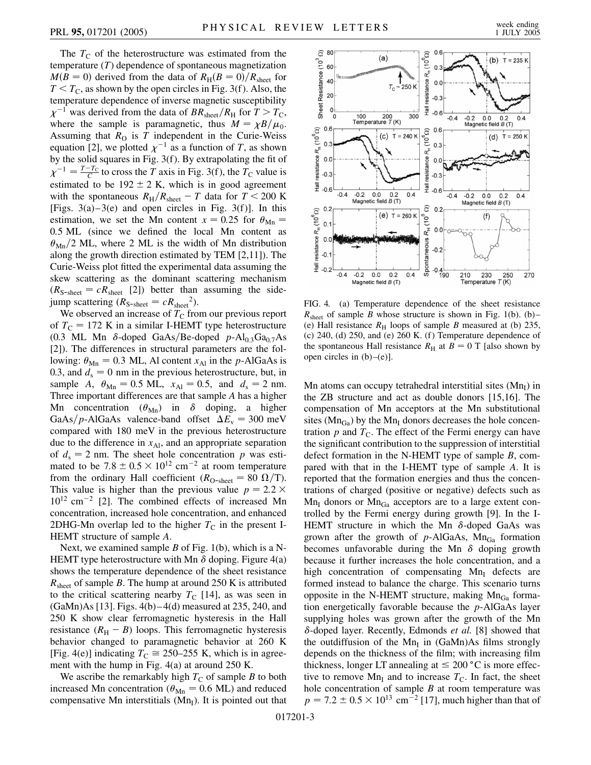The  $T_{\rm C}$  of the heterostructure was estimated from the temperature (*T*) dependence of spontaneous magnetization  $M(B = 0)$  derived from the data of  $R_H(B = 0)/R_{\text{sheet}}$  for  $T < T<sub>C</sub>$ , as shown by the open circles in Fig. 3(f). Also, the temperature dependence of inverse magnetic susceptibility  $\chi^{-1}$  was derived from the data of  $BR_{sheet}/R_H$  for  $T>T_C$ , where the sample is paramagnetic, thus  $M = \chi B/\mu_0$ . Assuming that  $R<sub>O</sub>$  is  $T$  independent in the Curie-Weiss equation [2], we plotted  $\chi^{-1}$  as a function of *T*, as shown by the solid squares in Fig. 3(f). By extrapolating the fit of  $\chi^{-1} = \frac{T - T_C}{C}$  to cross the *T* axis in Fig. 3(f), the *T*<sub>C</sub> value is estimated to be  $192 \pm 2$  K, which is in good agreement with the spontaneous  $R_H/R_{sheet} - T$  data for  $T < 200$  K [Figs.  $3(a)-3(e)$  and open circles in Fig.  $3(f)$ ]. In this estimation, we set the Mn content  $x = 0.25$  for  $\theta_{\text{Mn}} =$ 0*:*5 ML (since we defined the local Mn content as  $\theta_{\text{Mn}}/2$  ML, where 2 ML is the width of Mn distribution along the growth direction estimated by TEM [2,11]). The Curie-Weiss plot fitted the experimental data assuming the skew scattering as the dominant scattering mechanism  $(R_{\text{S-sheet}} = cR_{\text{sheet}}$  [2]) better than assuming the sidejump scattering  $(R_{\text{S-sheet}} = cR_{\text{sheet}}^2)$ .

We observed an increase of  $T<sub>C</sub>$  from our previous report of  $T_{\rm C}$  = 172 K in a similar I-HEMT type heterostructure (0.3 ML Mn  $\delta$ -doped GaAs/Be-doped  $p$ -Al<sub>0.3</sub>Ga<sub>0.7</sub>As [2]). The differences in structural parameters are the following:  $\theta_{\text{Mn}} = 0.3$  ML, Al content  $x_{\text{Al}}$  in the *p*-AlGaAs is 0.3, and  $d_s = 0$  nm in the previous heterostructure, but, in sample *A*,  $\theta_{\text{Mn}} = 0.5$  ML,  $x_{\text{Al}} = 0.5$ , and  $d_s = 2$  nm. Three important differences are that sample *A* has a higher Mn concentration  $(\theta_{Mn})$  in  $\delta$  doping, a higher GaAs/p-AlGaAs valence-band offset  $\Delta E_{v} = 300$  meV compared with 180 meV in the previous heterostructure due to the difference in  $x_{\text{Al}}$ , and an appropriate separation of  $d_s = 2$  nm. The sheet hole concentration p was estimated to be  $7.8 \pm 0.5 \times 10^{12}$  cm<sup>-2</sup> at room temperature from the ordinary Hall coefficient ( $R_{O-\text{sheet}} = 80 \Omega/T$ ). This value is higher than the previous value  $p = 2.2 \times$  $10^{12}$  cm<sup>-2</sup> [2]. The combined effects of increased Mn concentration, increased hole concentration, and enhanced 2DHG-Mn overlap led to the higher  $T<sub>C</sub>$  in the present I-HEMT structure of sample *A*.

Next, we examined sample *B* of Fig. 1(b), which is a N-HEMT type heterostructure with Mn  $\delta$  doping. Figure 4(a) shows the temperature dependence of the sheet resistance  $R<sub>sheet</sub>$  of sample *B*. The hump at around 250 K is attributed to the critical scattering nearby  $T_C$  [14], as was seen in  $(GaMn)As [13]$ . Figs.  $4(b) - 4(d)$  measured at 235, 240, and 250 K show clear ferromagnetic hysteresis in the Hall resistance  $(R_H - B)$  loops. This ferromagnetic hysteresis behavior changed to paramagnetic behavior at 260 K [Fig. 4(e)] indicating  $T_C \approx 250-255$  K, which is in agreement with the hump in Fig. 4(a) at around 250 K.

We ascribe the remarkably high  $T<sub>C</sub>$  of sample *B* to both increased Mn concentration ( $\theta_{\text{Mn}} = 0.6$  ML) and reduced compensative Mn interstitials  $(Mn<sub>I</sub>)$ . It is pointed out that

![](_page_2_Figure_7.jpeg)

FIG. 4. (a) Temperature dependence of the sheet resistance  $R<sub>sheet</sub>$  of sample *B* whose structure is shown in Fig. 1(b). (b)– (e) Hall resistance  $R<sub>H</sub>$  loops of sample *B* measured at (b) 235, (c) 240, (d) 250, and (e) 260 K. (f) Temperature dependence of the spontaneous Hall resistance  $R_H$  at  $B = 0$  T [also shown by open circles in  $(b)$ – $(e)$ ].

Mn atoms can occupy tetrahedral interstitial sites  $(Mn_I)$  in the ZB structure and act as double donors [15,16]. The compensation of Mn acceptors at the Mn substitutional sites ( $Mn_{Ga}$ ) by the  $Mn_{I}$  donors decreases the hole concentration  $p$  and  $T<sub>C</sub>$ . The effect of the Fermi energy can have the significant contribution to the suppression of interstitial defect formation in the N-HEMT type of sample *B*, compared with that in the I-HEMT type of sample *A*. It is reported that the formation energies and thus the concentrations of charged (positive or negative) defects such as  $Mn<sub>I</sub>$  donors or  $Mn<sub>Ga</sub>$  acceptors are to a large extent controlled by the Fermi energy during growth [9]. In the I-HEMT structure in which the Mn  $\delta$ -doped GaAs was grown after the growth of  $p$ -AlGaAs, Mn<sub>Ga</sub> formation becomes unfavorable during the Mn  $\delta$  doping growth because it further increases the hole concentration, and a high concentration of compensating  $Mn<sub>I</sub>$  defects are formed instead to balance the charge. This scenario turns opposite in the N-HEMT structure, making  $Mn_{Ga}$  formation energetically favorable because the *p*-AlGaAs layer supplying holes was grown after the growth of the Mn  $\delta$ -doped layer. Recently, Edmonds *et al.* [8] showed that the outdiffusion of the  $Mn<sub>I</sub>$  in (GaMn)As films strongly depends on the thickness of the film; with increasing film thickness, longer LT annealing at  $\leq 200$  °C is more effective to remove Mn<sub>I</sub> and to increase  $T<sub>C</sub>$ . In fact, the sheet hole concentration of sample *B* at room temperature was  $p = 7.2 \pm 0.5 \times 10^{13}$  cm<sup>-2</sup> [17], much higher than that of